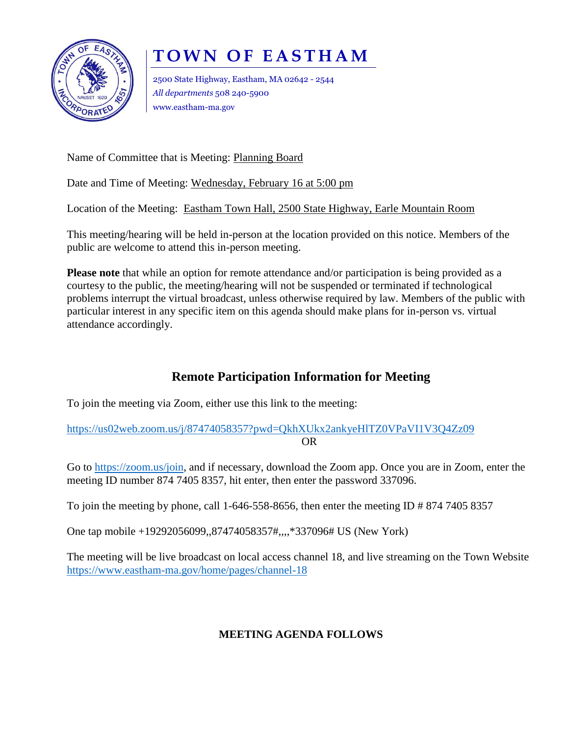

## **T O W N O F E A S T H A M**

2500 State Highway, Eastham, MA 02642 - 2544 *All departments* 508 240-5900 www.eastham-ma.gov

Name of Committee that is Meeting: Planning Board

Date and Time of Meeting: Wednesday, February 16 at 5:00 pm

Location of the Meeting: Eastham Town Hall, 2500 State Highway, Earle Mountain Room

This meeting/hearing will be held in-person at the location provided on this notice. Members of the public are welcome to attend this in-person meeting.

**Please note** that while an option for remote attendance and/or participation is being provided as a courtesy to the public, the meeting/hearing will not be suspended or terminated if technological problems interrupt the virtual broadcast, unless otherwise required by law. Members of the public with particular interest in any specific item on this agenda should make plans for in-person vs. virtual attendance accordingly.

## **Remote Participation Information for Meeting**

To join the meeting via Zoom, either use this link to the meeting:

<https://us02web.zoom.us/j/87474058357?pwd=QkhXUkx2ankyeHlTZ0VPaVI1V3Q4Zz09> OR

Go to [https://zoom.us/join,](https://zoom.us/join) and if necessary, download the Zoom app. Once you are in Zoom, enter the meeting ID number 874 7405 8357, hit enter, then enter the password 337096.

To join the meeting by phone, call 1-646-558-8656, then enter the meeting ID # 874 7405 8357

One tap mobile +19292056099,,87474058357#,,,,\*337096# US (New York)

The meeting will be live broadcast on local access channel 18, and live streaming on the Town Website <https://www.eastham-ma.gov/home/pages/channel-18>

## **MEETING AGENDA FOLLOWS**